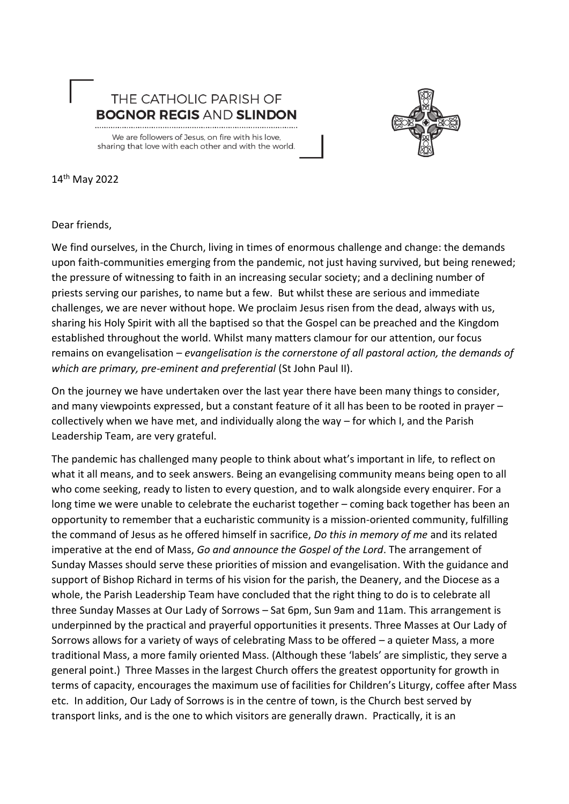



14th May 2022

Dear friends,

We find ourselves, in the Church, living in times of enormous challenge and change: the demands upon faith-communities emerging from the pandemic, not just having survived, but being renewed; the pressure of witnessing to faith in an increasing secular society; and a declining number of priests serving our parishes, to name but a few. But whilst these are serious and immediate challenges, we are never without hope. We proclaim Jesus risen from the dead, always with us, sharing his Holy Spirit with all the baptised so that the Gospel can be preached and the Kingdom established throughout the world. Whilst many matters clamour for our attention, our focus remains on evangelisation – *evangelisation is the cornerstone of all pastoral action, the demands of which are primary, pre-eminent and preferential* (St John Paul II).

On the journey we have undertaken over the last year there have been many things to consider, and many viewpoints expressed, but a constant feature of it all has been to be rooted in prayer – collectively when we have met, and individually along the way – for which I, and the Parish Leadership Team, are very grateful.

The pandemic has challenged many people to think about what's important in life, to reflect on what it all means, and to seek answers. Being an evangelising community means being open to all who come seeking, ready to listen to every question, and to walk alongside every enquirer. For a long time we were unable to celebrate the eucharist together – coming back together has been an opportunity to remember that a eucharistic community is a mission-oriented community, fulfilling the command of Jesus as he offered himself in sacrifice, *Do this in memory of me* and its related imperative at the end of Mass, *Go and announce the Gospel of the Lord*. The arrangement of Sunday Masses should serve these priorities of mission and evangelisation. With the guidance and support of Bishop Richard in terms of his vision for the parish, the Deanery, and the Diocese as a whole, the Parish Leadership Team have concluded that the right thing to do is to celebrate all three Sunday Masses at Our Lady of Sorrows – Sat 6pm, Sun 9am and 11am. This arrangement is underpinned by the practical and prayerful opportunities it presents. Three Masses at Our Lady of Sorrows allows for a variety of ways of celebrating Mass to be offered – a quieter Mass, a more traditional Mass, a more family oriented Mass. (Although these 'labels' are simplistic, they serve a general point.) Three Masses in the largest Church offers the greatest opportunity for growth in terms of capacity, encourages the maximum use of facilities for Children's Liturgy, coffee after Mass etc. In addition, Our Lady of Sorrows is in the centre of town, is the Church best served by transport links, and is the one to which visitors are generally drawn. Practically, it is an